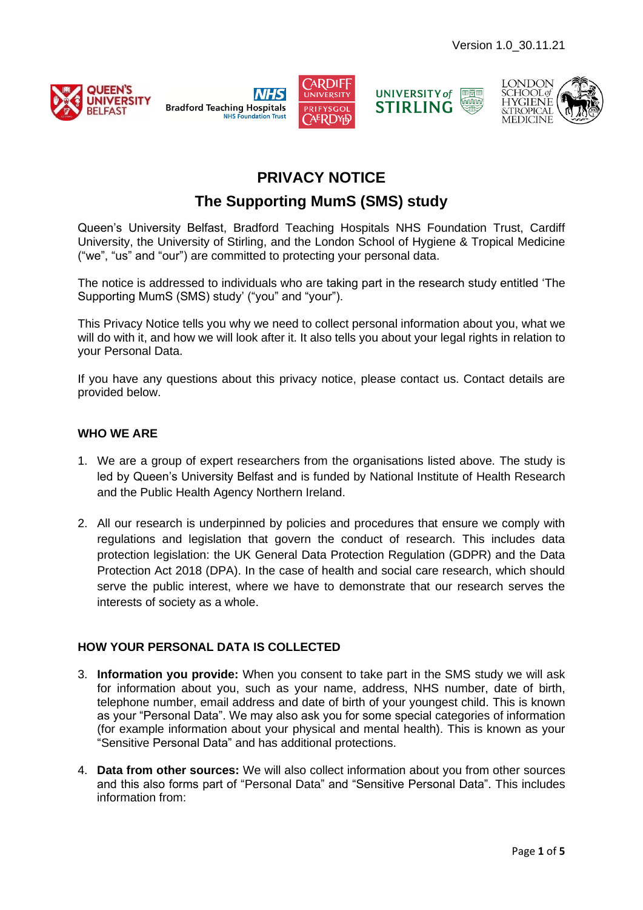









# **PRIVACY NOTICE**

## **The Supporting MumS (SMS) study**

Queen's University Belfast, Bradford Teaching Hospitals NHS Foundation Trust, Cardiff University, the University of Stirling, and the London School of Hygiene & Tropical Medicine ("we", "us" and "our") are committed to protecting your personal data.

The notice is addressed to individuals who are taking part in the research study entitled 'The Supporting MumS (SMS) study' ("you" and "your").

This Privacy Notice tells you why we need to collect personal information about you, what we will do with it, and how we will look after it. It also tells you about your legal rights in relation to your Personal Data.

If you have any questions about this privacy notice, please contact us. Contact details are provided below.

#### **WHO WE ARE**

- 1. We are a group of expert researchers from the organisations listed above. The study is led by Queen's University Belfast and is funded by National Institute of Health Research and the Public Health Agency Northern Ireland.
- 2. All our research is underpinned by policies and procedures that ensure we comply with regulations and legislation that govern the conduct of research. This includes data protection legislation: the UK General Data Protection Regulation (GDPR) and the Data Protection Act 2018 (DPA). In the case of health and social care research, which should serve the public interest, where we have to demonstrate that our research serves the interests of society as a whole.

### **HOW YOUR PERSONAL DATA IS COLLECTED**

- 3. **Information you provide:** When you consent to take part in the SMS study we will ask for information about you, such as your name, address, NHS number, date of birth, telephone number, email address and date of birth of your youngest child. This is known as your "Personal Data". We may also ask you for some special categories of information (for example information about your physical and mental health). This is known as your "Sensitive Personal Data" and has additional protections.
- 4. **Data from other sources:** We will also collect information about you from other sources and this also forms part of "Personal Data" and "Sensitive Personal Data". This includes information from: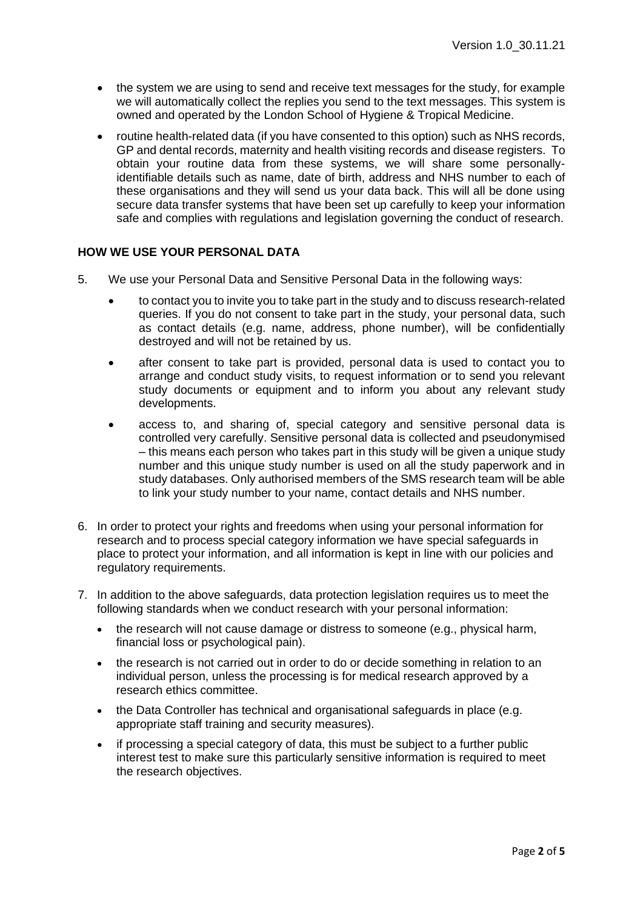- the system we are using to send and receive text messages for the study, for example we will automatically collect the replies you send to the text messages. This system is owned and operated by the London School of Hygiene & Tropical Medicine.
- routine health-related data (if you have consented to this option) such as NHS records, GP and dental records, maternity and health visiting records and disease registers. To obtain your routine data from these systems, we will share some personallyidentifiable details such as name, date of birth, address and NHS number to each of these organisations and they will send us your data back. This will all be done using secure data transfer systems that have been set up carefully to keep your information safe and complies with regulations and legislation governing the conduct of research.

#### **HOW WE USE YOUR PERSONAL DATA**

- 5. We use your Personal Data and Sensitive Personal Data in the following ways:
	- to contact you to invite you to take part in the study and to discuss research-related queries. If you do not consent to take part in the study, your personal data, such as contact details (e.g. name, address, phone number), will be confidentially destroyed and will not be retained by us.
	- after consent to take part is provided, personal data is used to contact you to arrange and conduct study visits, to request information or to send you relevant study documents or equipment and to inform you about any relevant study developments.
	- access to, and sharing of, special category and sensitive personal data is controlled very carefully. Sensitive personal data is collected and pseudonymised – this means each person who takes part in this study will be given a unique study number and this unique study number is used on all the study paperwork and in study databases. Only authorised members of the SMS research team will be able to link your study number to your name, contact details and NHS number.
- 6. In order to protect your rights and freedoms when using your personal information for research and to process special category information we have special safeguards in place to protect your information, and all information is kept in line with our policies and regulatory requirements.
- 7. In addition to the above safeguards, data protection legislation requires us to meet the following standards when we conduct research with your personal information:
	- the research will not cause damage or distress to someone (e.g., physical harm, financial loss or psychological pain).
	- the research is not carried out in order to do or decide something in relation to an individual person, unless the processing is for medical research approved by a research ethics committee.
	- the Data Controller has technical and organisational safeguards in place (e.g. appropriate staff training and security measures).
	- if processing a special category of data, this must be subject to a further public interest test to make sure this particularly sensitive information is required to meet the research objectives.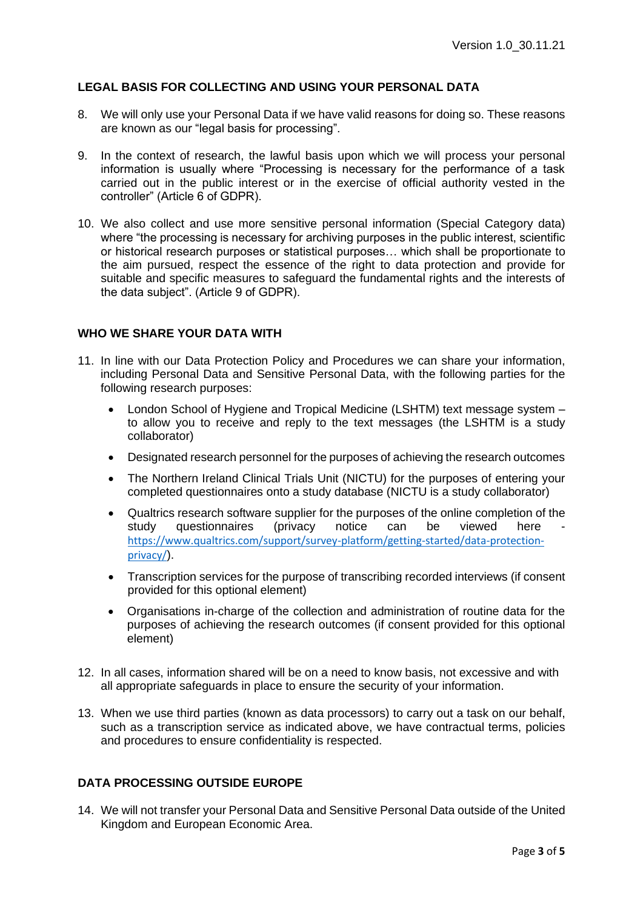#### **LEGAL BASIS FOR COLLECTING AND USING YOUR PERSONAL DATA**

- 8. We will only use your Personal Data if we have valid reasons for doing so. These reasons are known as our "legal basis for processing".
- 9. In the context of research, the lawful basis upon which we will process your personal information is usually where "Processing is necessary for the performance of a task carried out in the public interest or in the exercise of official authority vested in the controller" (Article 6 of GDPR).
- 10. We also collect and use more sensitive personal information (Special Category data) where "the processing is necessary for archiving purposes in the public interest, scientific or historical research purposes or statistical purposes… which shall be proportionate to the aim pursued, respect the essence of the right to data protection and provide for suitable and specific measures to safeguard the fundamental rights and the interests of the data subject". (Article 9 of GDPR).

#### **WHO WE SHARE YOUR DATA WITH**

- 11. In line with our Data Protection Policy and Procedures we can share your information, including Personal Data and Sensitive Personal Data, with the following parties for the following research purposes:
	- London School of Hygiene and Tropical Medicine (LSHTM) text message system to allow you to receive and reply to the text messages (the LSHTM is a study collaborator)
	- Designated research personnel for the purposes of achieving the research outcomes
	- The Northern Ireland Clinical Trials Unit (NICTU) for the purposes of entering your completed questionnaires onto a study database (NICTU is a study collaborator)
	- Qualtrics research software supplier for the purposes of the online completion of the study questionnaires (privacy notice can be viewed here [https://www.qualtrics.com/support/survey-platform/getting-started/data-protection](https://www.qualtrics.com/support/survey-platform/getting-started/data-protection-privacy/)[privacy/](https://www.qualtrics.com/support/survey-platform/getting-started/data-protection-privacy/)).
	- Transcription services for the purpose of transcribing recorded interviews (if consent provided for this optional element)
	- Organisations in-charge of the collection and administration of routine data for the purposes of achieving the research outcomes (if consent provided for this optional element)
- 12. In all cases, information shared will be on a need to know basis, not excessive and with all appropriate safeguards in place to ensure the security of your information.
- 13. When we use third parties (known as data processors) to carry out a task on our behalf, such as a transcription service as indicated above, we have contractual terms, policies and procedures to ensure confidentiality is respected.

#### **DATA PROCESSING OUTSIDE EUROPE**

14. We will not transfer your Personal Data and Sensitive Personal Data outside of the United Kingdom and European Economic Area.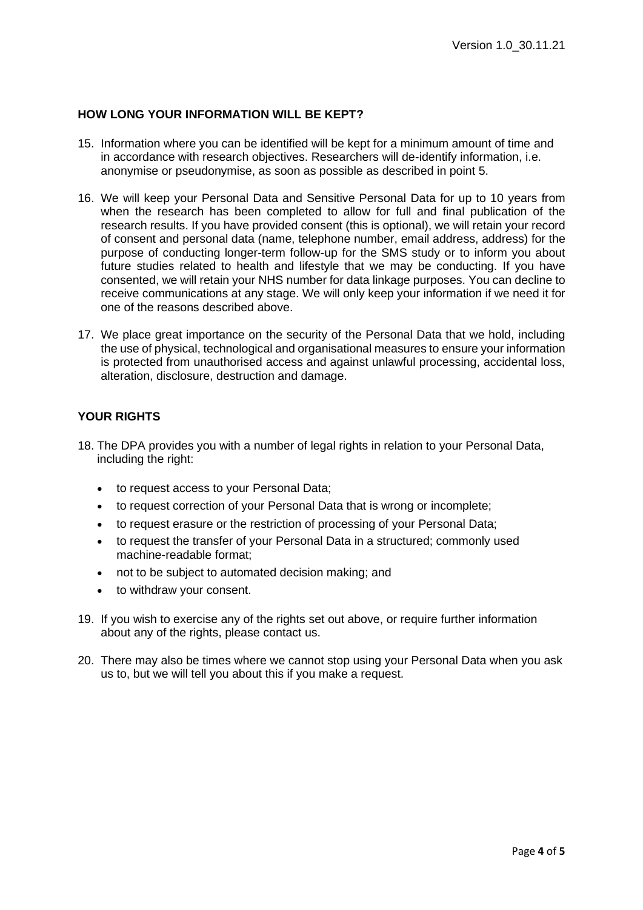#### **HOW LONG YOUR INFORMATION WILL BE KEPT?**

- 15. Information where you can be identified will be kept for a minimum amount of time and in accordance with research objectives. Researchers will de-identify information, i.e. anonymise or pseudonymise, as soon as possible as described in point 5.
- 16. We will keep your Personal Data and Sensitive Personal Data for up to 10 years from when the research has been completed to allow for full and final publication of the research results. If you have provided consent (this is optional), we will retain your record of consent and personal data (name, telephone number, email address, address) for the purpose of conducting longer-term follow-up for the SMS study or to inform you about future studies related to health and lifestyle that we may be conducting. If you have consented, we will retain your NHS number for data linkage purposes. You can decline to receive communications at any stage. We will only keep your information if we need it for one of the reasons described above.
- 17. We place great importance on the security of the Personal Data that we hold, including the use of physical, technological and organisational measures to ensure your information is protected from unauthorised access and against unlawful processing, accidental loss, alteration, disclosure, destruction and damage.

#### **YOUR RIGHTS**

- 18. The DPA provides you with a number of legal rights in relation to your Personal Data, including the right:
	- to request access to your Personal Data;
	- to request correction of your Personal Data that is wrong or incomplete:
	- to request erasure or the restriction of processing of your Personal Data;
	- to request the transfer of your Personal Data in a structured; commonly used machine-readable format;
	- not to be subject to automated decision making; and
	- to withdraw your consent.
- 19. If you wish to exercise any of the rights set out above, or require further information about any of the rights, please contact us.
- 20. There may also be times where we cannot stop using your Personal Data when you ask us to, but we will tell you about this if you make a request.